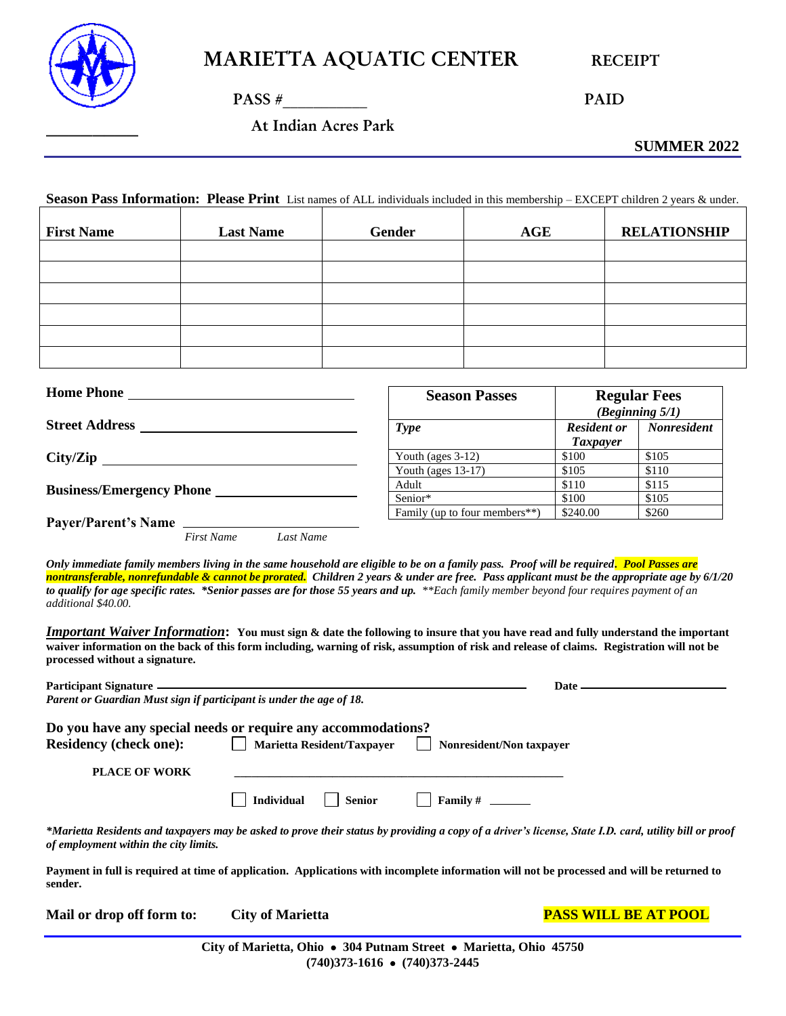

 $PASS \#$  PAID

\_\_\_\_\_\_\_\_ At Indian Acres Park

**SUMMER 2022**

**Season Pass Information: Please Print** List names of ALL individuals included in this membership – EXCEPT children 2 years & under.

| <b>First Name</b> | <b>Last Name</b> | <b>Gender</b> | AGE | <b>RELATIONSHIP</b> |
|-------------------|------------------|---------------|-----|---------------------|
|                   |                  |               |     |                     |
|                   |                  |               |     |                     |
|                   |                  |               |     |                     |
|                   |                  |               |     |                     |
|                   |                  |               |     |                     |
|                   |                  |               |     |                     |

| <b>Home Phone</b>               | <b>Season Passes</b>                       |                                       | <b>Regular Fees</b><br>(Beginning 5/1) |
|---------------------------------|--------------------------------------------|---------------------------------------|----------------------------------------|
| <b>Street Address</b>           | <b>Type</b>                                | <b>Resident or</b><br><i>Taxpayer</i> | <b>Nonresident</b>                     |
| City/Zip                        | Youth (ages $3-12$ )                       | \$100                                 | \$105                                  |
|                                 | Youth (ages $13-17$ )                      | \$105                                 | \$110                                  |
| <b>Business/Emergency Phone</b> | Adult                                      | \$110                                 | \$115                                  |
|                                 | Senior*                                    | \$100                                 | \$105                                  |
| <b>Payer/Parent's Name</b>      | Family (up to four members <sup>**</sup> ) | \$240.00                              | \$260                                  |

*First Name Last Name*

*Only immediate family members living in the same household are eligible to be on a family pass. Proof will be required. Pool Passes are nontransferable, nonrefundable & cannot be prorated. Children 2 years & under are free. Pass applicant must be the appropriate age by 6/1/20 to qualify for age specific rates. \*Senior passes are for those 55 years and up. \*\*Each family member beyond four requires payment of an additional \$40.00.*

*Important Waiver Information***: You must sign & date the following to insure that you have read and fully understand the important waiver information on the back of this form including, warning of risk, assumption of risk and release of claims. Registration will not be processed without a signature.**

| Participant Signature                                               |                                                              | Date $\frac{1}{\sqrt{1-\frac{1}{2}}\sqrt{1-\frac{1}{2}}\sqrt{1-\frac{1}{2}}\sqrt{1-\frac{1}{2}}\sqrt{1-\frac{1}{2}}\sqrt{1-\frac{1}{2}}\sqrt{1-\frac{1}{2}}\sqrt{1-\frac{1}{2}}\sqrt{1-\frac{1}{2}}\sqrt{1-\frac{1}{2}}\sqrt{1-\frac{1}{2}}\sqrt{1-\frac{1}{2}}\sqrt{1-\frac{1}{2}}\sqrt{1-\frac{1}{2}}\sqrt{1-\frac{1}{2}}\sqrt{1-\frac{1}{2}}\sqrt{1-\frac{1}{2}}\sqrt{1-\frac{1}{2}}\sqrt{1-\frac{1}{2}}\$ |
|---------------------------------------------------------------------|--------------------------------------------------------------|---------------------------------------------------------------------------------------------------------------------------------------------------------------------------------------------------------------------------------------------------------------------------------------------------------------------------------------------------------------------------------------------------------------|
| Parent or Guardian Must sign if participant is under the age of 18. |                                                              |                                                                                                                                                                                                                                                                                                                                                                                                               |
|                                                                     | Do you have any special needs or require any accommodations? |                                                                                                                                                                                                                                                                                                                                                                                                               |
| <b>Residency (check one):</b>                                       | Marietta Resident/Taxpayer     Nonresident/Non taxpayer      |                                                                                                                                                                                                                                                                                                                                                                                                               |
| <b>PLACE OF WORK</b>                                                |                                                              |                                                                                                                                                                                                                                                                                                                                                                                                               |
|                                                                     | <b>Individual</b><br>  Senior                                | $\vert$ Family # ________                                                                                                                                                                                                                                                                                                                                                                                     |
| of employment within the city limits.                               |                                                              | *Marietta Residents and taxpayers may be asked to prove their status by providing a copy of a driver's license, State I.D. card, utility bill or proof                                                                                                                                                                                                                                                        |
|                                                                     |                                                              | Downort in full is required at time of application. Applications with incomplete information will not be processed and will be returned to                                                                                                                                                                                                                                                                    |

**Payment in full is required at time of application. Applications with incomplete information will not be processed and will be returned to sender.** 

**Mail or drop off form to: City of Marietta PASS WILL BE AT POOL**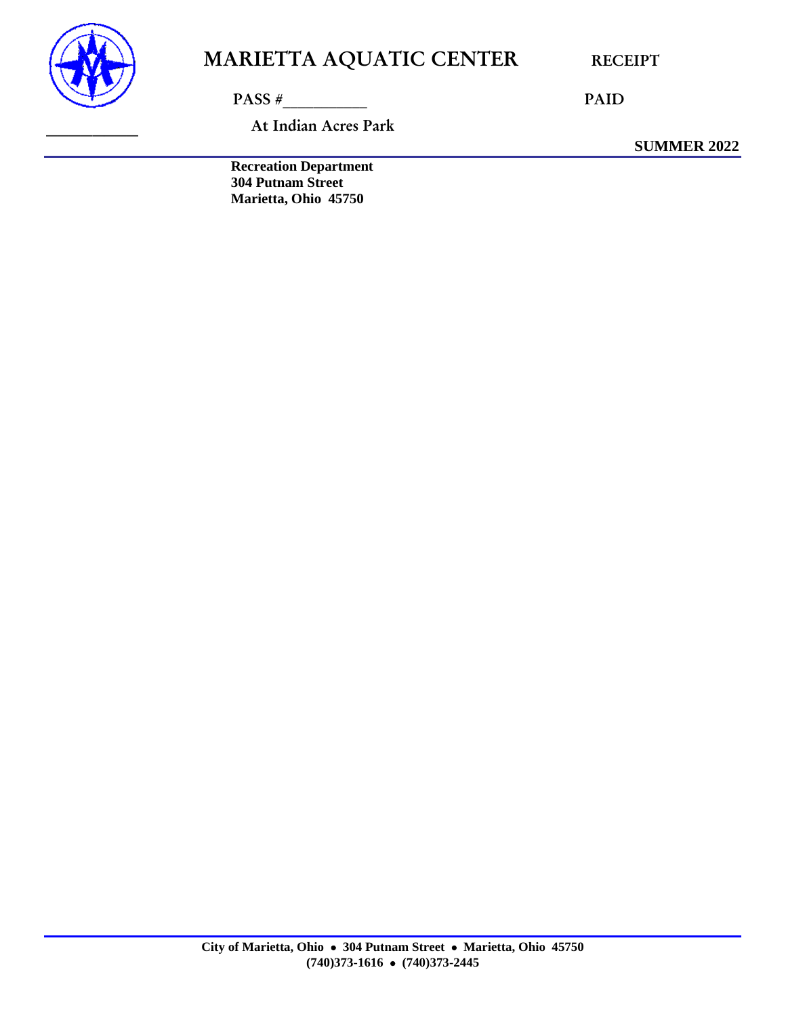

PASS # PAID

At Indian Acres Park

**SUMMER 2022**

**Recreation Department 304 Putnam Street Marietta, Ohio 45750**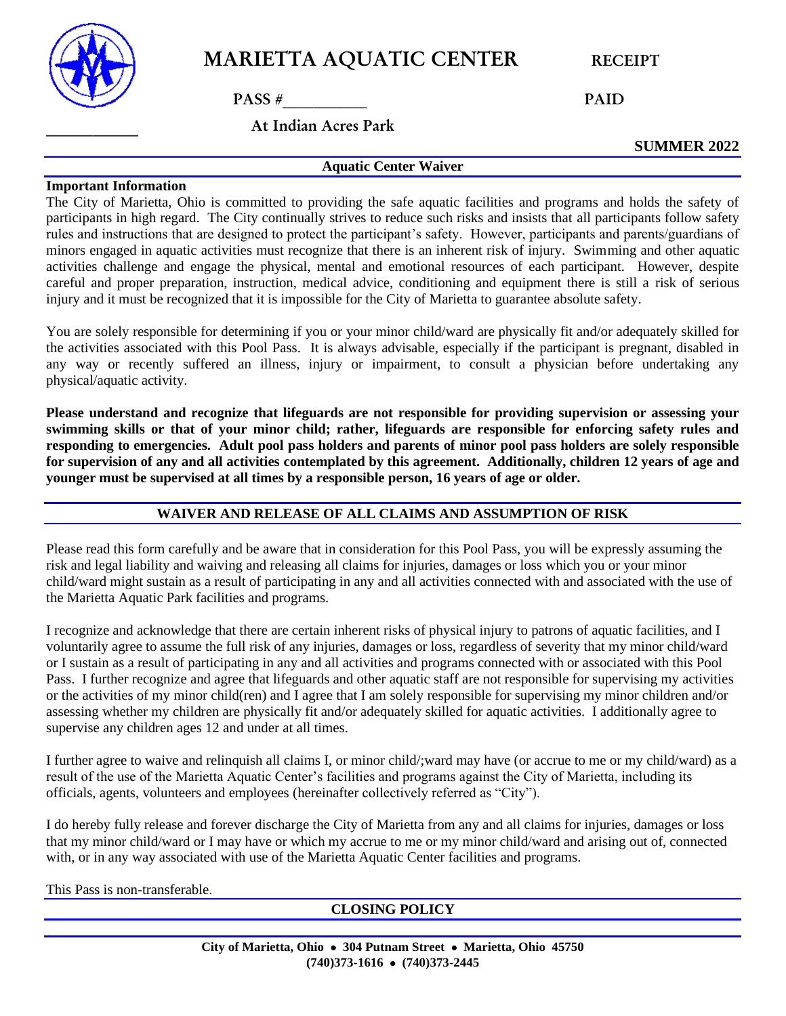

 $PASS \#$  PAID

\_\_\_\_\_\_\_\_ At Indian Acres Park

**SUMMER 2022**

#### **Important Information**

The City of Marietta, Ohio is committed to providing the safe aquatic facilities and programs and holds the safety of participants in high regard. The City continually strives to reduce such risks and insists that all participants follow safety rules and instructions that are designed to protect the participant's safety. However, participants and parents/guardians of minors engaged in aquatic activities must recognize that there is an inherent risk of injury. Swimming and other aquatic activities challenge and engage the physical, mental and emotional resources of each participant. However, despite careful and proper preparation, instruction, medical advice, conditioning and equipment there is still a risk of serious injury and it must be recognized that it is impossible for the City of Marietta to guarantee absolute safety.

**Aquatic Center Waiver**

You are solely responsible for determining if you or your minor child/ward are physically fit and/or adequately skilled for the activities associated with this Pool Pass. It is always advisable, especially if the participant is pregnant, disabled in any way or recently suffered an illness, injury or impairment, to consult a physician before undertaking any physical/aquatic activity.

**Please understand and recognize that lifeguards are not responsible for providing supervision or assessing your swimming skills or that of your minor child; rather, lifeguards are responsible for enforcing safety rules and responding to emergencies. Adult pool pass holders and parents of minor pool pass holders are solely responsible for supervision of any and all activities contemplated by this agreement. Additionally, children 12 years of age and younger must be supervised at all times by a responsible person, 16 years of age or older.**

#### **WAIVER AND RELEASE OF ALL CLAIMS AND ASSUMPTION OF RISK**

Please read this form carefully and be aware that in consideration for this Pool Pass, you will be expressly assuming the risk and legal liability and waiving and releasing all claims for injuries, damages or loss which you or your minor child/ward might sustain as a result of participating in any and all activities connected with and associated with the use of the Marietta Aquatic Park facilities and programs.

I recognize and acknowledge that there are certain inherent risks of physical injury to patrons of aquatic facilities, and I voluntarily agree to assume the full risk of any injuries, damages or loss, regardless of severity that my minor child/ward or I sustain as a result of participating in any and all activities and programs connected with or associated with this Pool Pass. I further recognize and agree that lifeguards and other aquatic staff are not responsible for supervising my activities or the activities of my minor child(ren) and I agree that I am solely responsible for supervising my minor children and/or assessing whether my children are physically fit and/or adequately skilled for aquatic activities. I additionally agree to supervise any children ages 12 and under at all times.

I further agree to waive and relinquish all claims I, or minor child/;ward may have (or accrue to me or my child/ward) as a result of the use of the Marietta Aquatic Center's facilities and programs against the City of Marietta, including its officials, agents, volunteers and employees (hereinafter collectively referred as "City").

I do hereby fully release and forever discharge the City of Marietta from any and all claims for injuries, damages or loss that my minor child/ward or I may have or which my accrue to me or my minor child/ward and arising out of, connected with, or in any way associated with use of the Marietta Aquatic Center facilities and programs.

This Pass is non-transferable.

**CLOSING POLICY**